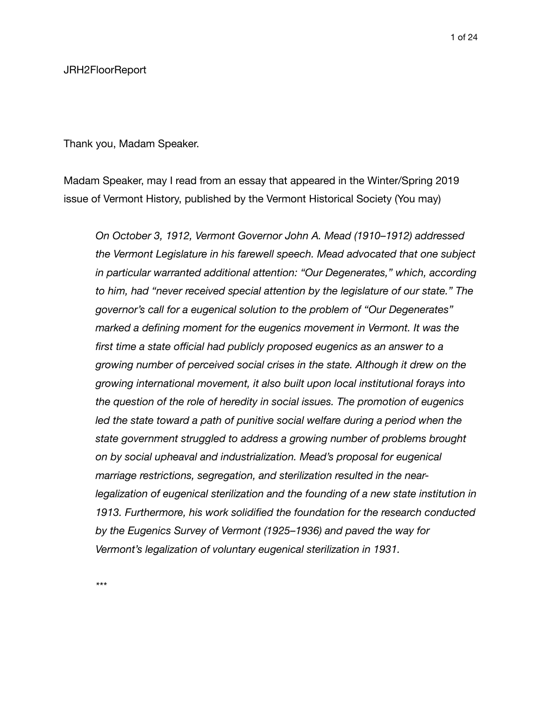## JRH2FloorReport

Thank you, Madam Speaker.

Madam Speaker, may I read from an essay that appeared in the Winter/Spring 2019 issue of Vermont History, published by the Vermont Historical Society (You may)

*On October 3, 1912, Vermont Governor John A. Mead (1910–1912) addressed the Vermont Legislature in his farewell speech. Mead advocated that one subject in particular warranted additional attention: "Our Degenerates," which, according to him, had "never received special attention by the legislature of our state." The governor's call for a eugenical solution to the problem of "Our Degenerates" marked a defining moment for the eugenics movement in Vermont. It was the first time a state official had publicly proposed eugenics as an answer to a growing number of perceived social crises in the state. Although it drew on the growing international movement, it also built upon local institutional forays into the question of the role of heredity in social issues. The promotion of eugenics*  led the state toward a path of punitive social welfare during a period when the *state government struggled to address a growing number of problems brought on by social upheaval and industrialization. Mead's proposal for eugenical marriage restrictions, segregation, and sterilization resulted in the nearlegalization of eugenical sterilization and the founding of a new state institution in 1913. Furthermore, his work solidified the foundation for the research conducted by the Eugenics Survey of Vermont (1925–1936) and paved the way for Vermont's legalization of voluntary eugenical sterilization in 1931.* 

*\*\*\**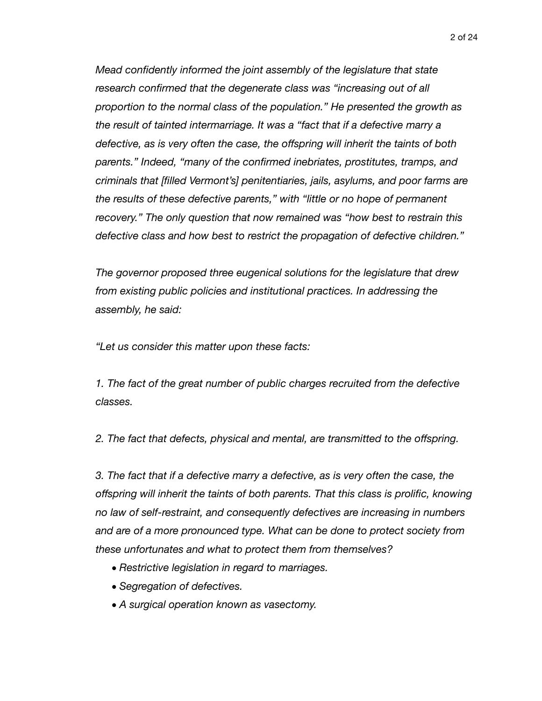*Mead confidently informed the joint assembly of the legislature that state research confirmed that the degenerate class was "increasing out of all proportion to the normal class of the population." He presented the growth as the result of tainted intermarriage. It was a "fact that if a defective marry a defective, as is very often the case, the offspring will inherit the taints of both parents." Indeed, "many of the confirmed inebriates, prostitutes, tramps, and criminals that [filled Vermont's] penitentiaries, jails, asylums, and poor farms are the results of these defective parents," with "little or no hope of permanent recovery." The only question that now remained was "how best to restrain this defective class and how best to restrict the propagation of defective children."* 

*The governor proposed three eugenical solutions for the legislature that drew from existing public policies and institutional practices. In addressing the assembly, he said:* 

*"Let us consider this matter upon these facts:* 

*1. The fact of the great number of public charges recruited from the defective classes.* 

*2. The fact that defects, physical and mental, are transmitted to the offspring.* 

*3. The fact that if a defective marry a defective, as is very often the case, the offspring will inherit the taints of both parents. That this class is prolific, knowing no law of self-restraint, and consequently defectives are increasing in numbers and are of a more pronounced type. What can be done to protect society from these unfortunates and what to protect them from themselves?* 

- *• Restrictive legislation in regard to marriages.*
- *• Segregation of defectives.*
- *• A surgical operation known as vasectomy.*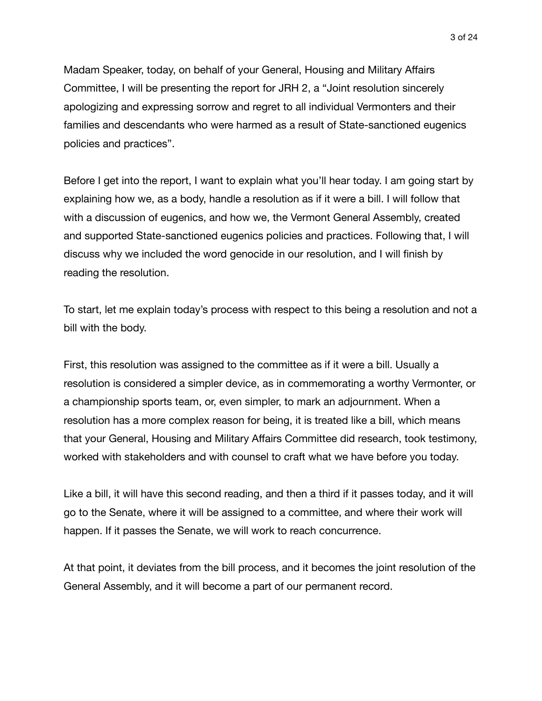Madam Speaker, today, on behalf of your General, Housing and Military Affairs Committee, I will be presenting the report for JRH 2, a "Joint resolution sincerely apologizing and expressing sorrow and regret to all individual Vermonters and their families and descendants who were harmed as a result of State-sanctioned eugenics policies and practices".

Before I get into the report, I want to explain what you'll hear today. I am going start by explaining how we, as a body, handle a resolution as if it were a bill. I will follow that with a discussion of eugenics, and how we, the Vermont General Assembly, created and supported State-sanctioned eugenics policies and practices. Following that, I will discuss why we included the word genocide in our resolution, and I will finish by reading the resolution.

To start, let me explain today's process with respect to this being a resolution and not a bill with the body.

First, this resolution was assigned to the committee as if it were a bill. Usually a resolution is considered a simpler device, as in commemorating a worthy Vermonter, or a championship sports team, or, even simpler, to mark an adjournment. When a resolution has a more complex reason for being, it is treated like a bill, which means that your General, Housing and Military Affairs Committee did research, took testimony, worked with stakeholders and with counsel to craft what we have before you today.

Like a bill, it will have this second reading, and then a third if it passes today, and it will go to the Senate, where it will be assigned to a committee, and where their work will happen. If it passes the Senate, we will work to reach concurrence.

At that point, it deviates from the bill process, and it becomes the joint resolution of the General Assembly, and it will become a part of our permanent record.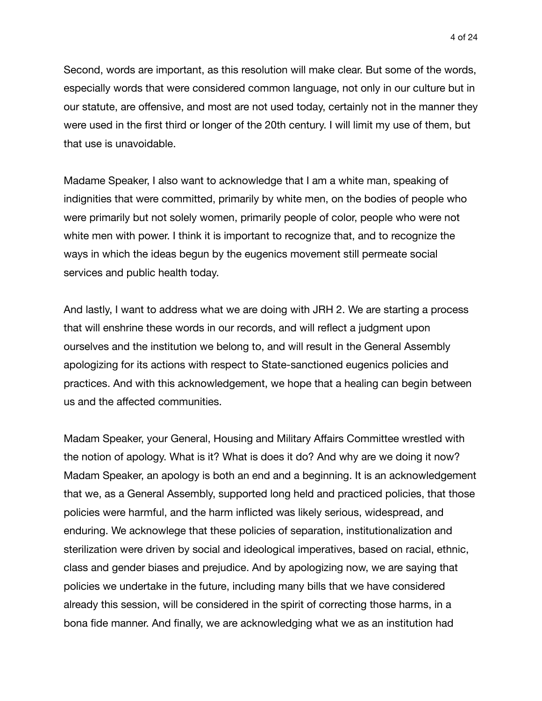Second, words are important, as this resolution will make clear. But some of the words, especially words that were considered common language, not only in our culture but in our statute, are offensive, and most are not used today, certainly not in the manner they were used in the first third or longer of the 20th century. I will limit my use of them, but that use is unavoidable.

Madame Speaker, I also want to acknowledge that I am a white man, speaking of indignities that were committed, primarily by white men, on the bodies of people who were primarily but not solely women, primarily people of color, people who were not white men with power. I think it is important to recognize that, and to recognize the ways in which the ideas begun by the eugenics movement still permeate social services and public health today.

And lastly, I want to address what we are doing with JRH 2. We are starting a process that will enshrine these words in our records, and will reflect a judgment upon ourselves and the institution we belong to, and will result in the General Assembly apologizing for its actions with respect to State-sanctioned eugenics policies and practices. And with this acknowledgement, we hope that a healing can begin between us and the affected communities.

Madam Speaker, your General, Housing and Military Affairs Committee wrestled with the notion of apology. What is it? What is does it do? And why are we doing it now? Madam Speaker, an apology is both an end and a beginning. It is an acknowledgement that we, as a General Assembly, supported long held and practiced policies, that those policies were harmful, and the harm inflicted was likely serious, widespread, and enduring. We acknowlege that these policies of separation, institutionalization and sterilization were driven by social and ideological imperatives, based on racial, ethnic, class and gender biases and prejudice. And by apologizing now, we are saying that policies we undertake in the future, including many bills that we have considered already this session, will be considered in the spirit of correcting those harms, in a bona fide manner. And finally, we are acknowledging what we as an institution had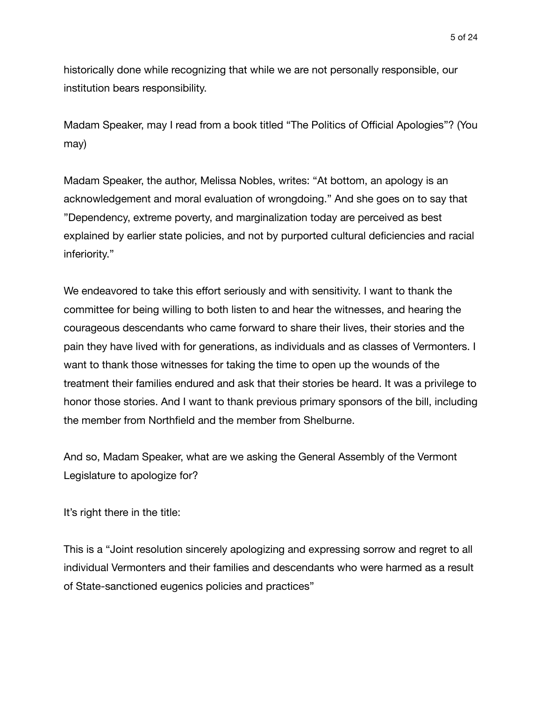historically done while recognizing that while we are not personally responsible, our institution bears responsibility.

Madam Speaker, may I read from a book titled "The Politics of Official Apologies"? (You may)

Madam Speaker, the author, Melissa Nobles, writes: "At bottom, an apology is an acknowledgement and moral evaluation of wrongdoing." And she goes on to say that "Dependency, extreme poverty, and marginalization today are perceived as best explained by earlier state policies, and not by purported cultural deficiencies and racial inferiority."

We endeavored to take this effort seriously and with sensitivity. I want to thank the committee for being willing to both listen to and hear the witnesses, and hearing the courageous descendants who came forward to share their lives, their stories and the pain they have lived with for generations, as individuals and as classes of Vermonters. I want to thank those witnesses for taking the time to open up the wounds of the treatment their families endured and ask that their stories be heard. It was a privilege to honor those stories. And I want to thank previous primary sponsors of the bill, including the member from Northfield and the member from Shelburne.

And so, Madam Speaker, what are we asking the General Assembly of the Vermont Legislature to apologize for?

It's right there in the title:

This is a "Joint resolution sincerely apologizing and expressing sorrow and regret to all individual Vermonters and their families and descendants who were harmed as a result of State-sanctioned eugenics policies and practices"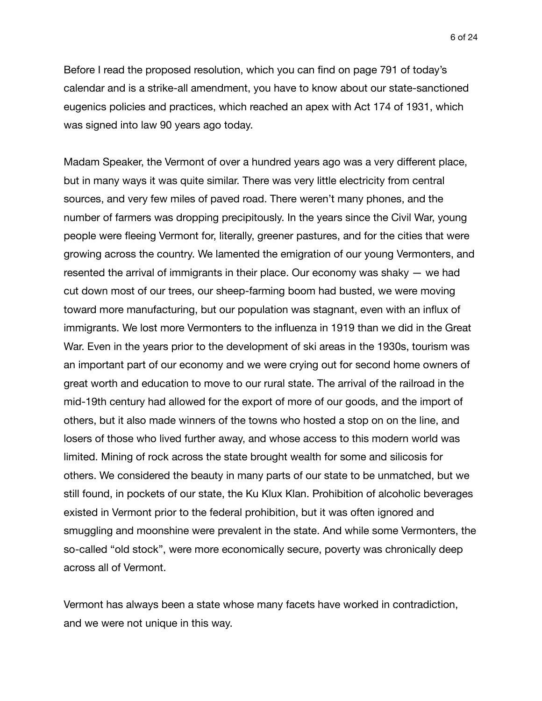6 of 24

Before I read the proposed resolution, which you can find on page 791 of today's calendar and is a strike-all amendment, you have to know about our state-sanctioned eugenics policies and practices, which reached an apex with Act 174 of 1931, which was signed into law 90 years ago today.

Madam Speaker, the Vermont of over a hundred years ago was a very different place, but in many ways it was quite similar. There was very little electricity from central sources, and very few miles of paved road. There weren't many phones, and the number of farmers was dropping precipitously. In the years since the Civil War, young people were fleeing Vermont for, literally, greener pastures, and for the cities that were growing across the country. We lamented the emigration of our young Vermonters, and resented the arrival of immigrants in their place. Our economy was shaky — we had cut down most of our trees, our sheep-farming boom had busted, we were moving toward more manufacturing, but our population was stagnant, even with an influx of immigrants. We lost more Vermonters to the influenza in 1919 than we did in the Great War. Even in the years prior to the development of ski areas in the 1930s, tourism was an important part of our economy and we were crying out for second home owners of great worth and education to move to our rural state. The arrival of the railroad in the mid-19th century had allowed for the export of more of our goods, and the import of others, but it also made winners of the towns who hosted a stop on on the line, and losers of those who lived further away, and whose access to this modern world was limited. Mining of rock across the state brought wealth for some and silicosis for others. We considered the beauty in many parts of our state to be unmatched, but we still found, in pockets of our state, the Ku Klux Klan. Prohibition of alcoholic beverages existed in Vermont prior to the federal prohibition, but it was often ignored and smuggling and moonshine were prevalent in the state. And while some Vermonters, the so-called "old stock", were more economically secure, poverty was chronically deep across all of Vermont.

Vermont has always been a state whose many facets have worked in contradiction, and we were not unique in this way.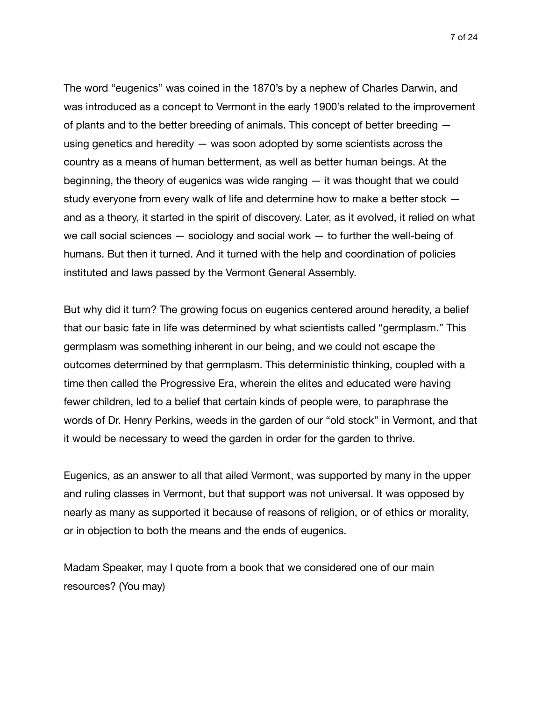The word "eugenics" was coined in the 1870's by a nephew of Charles Darwin, and was introduced as a concept to Vermont in the early 1900's related to the improvement of plants and to the better breeding of animals. This concept of better breeding using genetics and heredity — was soon adopted by some scientists across the country as a means of human betterment, as well as better human beings. At the beginning, the theory of eugenics was wide ranging — it was thought that we could study everyone from every walk of life and determine how to make a better stock and as a theory, it started in the spirit of discovery. Later, as it evolved, it relied on what we call social sciences  $-$  sociology and social work  $-$  to further the well-being of humans. But then it turned. And it turned with the help and coordination of policies instituted and laws passed by the Vermont General Assembly.

But why did it turn? The growing focus on eugenics centered around heredity, a belief that our basic fate in life was determined by what scientists called "germplasm." This germplasm was something inherent in our being, and we could not escape the outcomes determined by that germplasm. This deterministic thinking, coupled with a time then called the Progressive Era, wherein the elites and educated were having fewer children, led to a belief that certain kinds of people were, to paraphrase the words of Dr. Henry Perkins, weeds in the garden of our "old stock" in Vermont, and that it would be necessary to weed the garden in order for the garden to thrive.

Eugenics, as an answer to all that ailed Vermont, was supported by many in the upper and ruling classes in Vermont, but that support was not universal. It was opposed by nearly as many as supported it because of reasons of religion, or of ethics or morality, or in objection to both the means and the ends of eugenics.

Madam Speaker, may I quote from a book that we considered one of our main resources? (You may)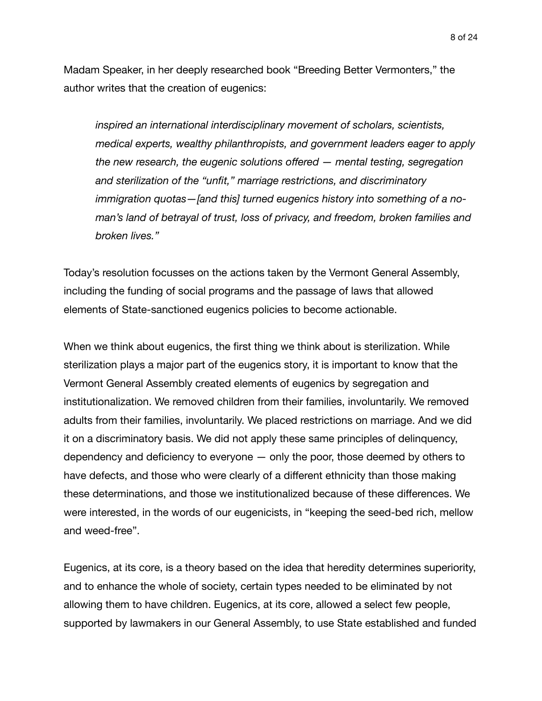Madam Speaker, in her deeply researched book "Breeding Better Vermonters," the author writes that the creation of eugenics:

*inspired an international interdisciplinary movement of scholars, scientists, medical experts, wealthy philanthropists, and government leaders eager to apply the new research, the eugenic solutions offered — mental testing, segregation and sterilization of the "unfit," marriage restrictions, and discriminatory immigration quotas—[and this] turned eugenics history into something of a noman's land of betrayal of trust, loss of privacy, and freedom, broken families and broken lives."* 

Today's resolution focusses on the actions taken by the Vermont General Assembly, including the funding of social programs and the passage of laws that allowed elements of State-sanctioned eugenics policies to become actionable.

When we think about eugenics, the first thing we think about is sterilization. While sterilization plays a major part of the eugenics story, it is important to know that the Vermont General Assembly created elements of eugenics by segregation and institutionalization. We removed children from their families, involuntarily. We removed adults from their families, involuntarily. We placed restrictions on marriage. And we did it on a discriminatory basis. We did not apply these same principles of delinquency, dependency and deficiency to everyone — only the poor, those deemed by others to have defects, and those who were clearly of a different ethnicity than those making these determinations, and those we institutionalized because of these differences. We were interested, in the words of our eugenicists, in "keeping the seed-bed rich, mellow and weed-free".

Eugenics, at its core, is a theory based on the idea that heredity determines superiority, and to enhance the whole of society, certain types needed to be eliminated by not allowing them to have children. Eugenics, at its core, allowed a select few people, supported by lawmakers in our General Assembly, to use State established and funded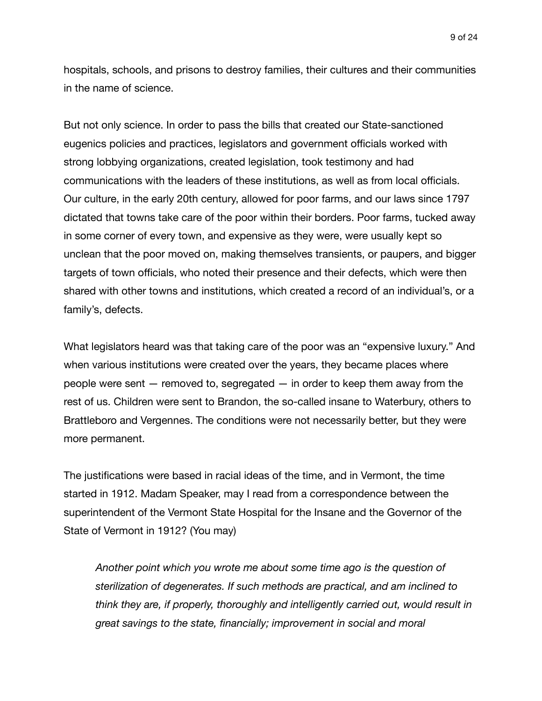hospitals, schools, and prisons to destroy families, their cultures and their communities in the name of science.

But not only science. In order to pass the bills that created our State-sanctioned eugenics policies and practices, legislators and government officials worked with strong lobbying organizations, created legislation, took testimony and had communications with the leaders of these institutions, as well as from local officials. Our culture, in the early 20th century, allowed for poor farms, and our laws since 1797 dictated that towns take care of the poor within their borders. Poor farms, tucked away in some corner of every town, and expensive as they were, were usually kept so unclean that the poor moved on, making themselves transients, or paupers, and bigger targets of town officials, who noted their presence and their defects, which were then shared with other towns and institutions, which created a record of an individual's, or a family's, defects.

What legislators heard was that taking care of the poor was an "expensive luxury." And when various institutions were created over the years, they became places where people were sent — removed to, segregated — in order to keep them away from the rest of us. Children were sent to Brandon, the so-called insane to Waterbury, others to Brattleboro and Vergennes. The conditions were not necessarily better, but they were more permanent.

The justifications were based in racial ideas of the time, and in Vermont, the time started in 1912. Madam Speaker, may I read from a correspondence between the superintendent of the Vermont State Hospital for the Insane and the Governor of the State of Vermont in 1912? (You may)

*Another point which you wrote me about some time ago is the question of sterilization of degenerates. If such methods are practical, and am inclined to think they are, if properly, thoroughly and intelligently carried out, would result in great savings to the state, financially; improvement in social and moral*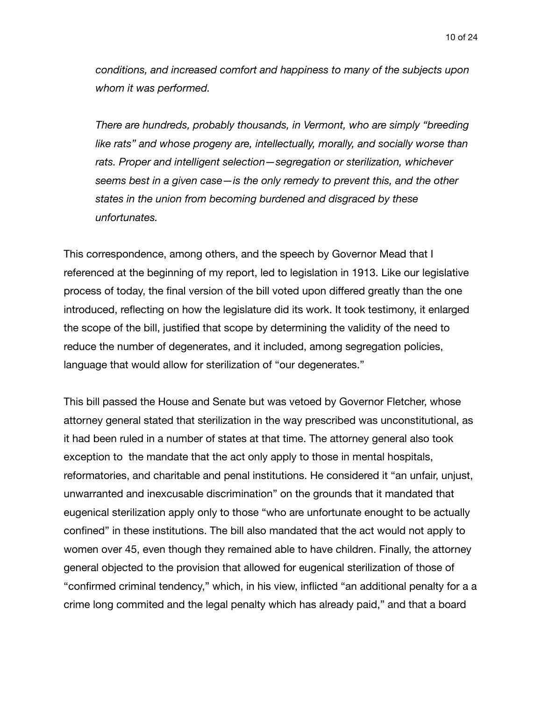*conditions, and increased comfort and happiness to many of the subjects upon whom it was performed.* 

*There are hundreds, probably thousands, in Vermont, who are simply "breeding*  like rats" and whose progeny are, intellectually, morally, and socially worse than *rats. Proper and intelligent selection—segregation or sterilization, whichever seems best in a given case—is the only remedy to prevent this, and the other states in the union from becoming burdened and disgraced by these unfortunates.* 

This correspondence, among others, and the speech by Governor Mead that I referenced at the beginning of my report, led to legislation in 1913. Like our legislative process of today, the final version of the bill voted upon differed greatly than the one introduced, reflecting on how the legislature did its work. It took testimony, it enlarged the scope of the bill, justified that scope by determining the validity of the need to reduce the number of degenerates, and it included, among segregation policies, language that would allow for sterilization of "our degenerates."

This bill passed the House and Senate but was vetoed by Governor Fletcher, whose attorney general stated that sterilization in the way prescribed was unconstitutional, as it had been ruled in a number of states at that time. The attorney general also took exception to the mandate that the act only apply to those in mental hospitals, reformatories, and charitable and penal institutions. He considered it "an unfair, unjust, unwarranted and inexcusable discrimination" on the grounds that it mandated that eugenical sterilization apply only to those "who are unfortunate enought to be actually confined" in these institutions. The bill also mandated that the act would not apply to women over 45, even though they remained able to have children. Finally, the attorney general objected to the provision that allowed for eugenical sterilization of those of "confirmed criminal tendency," which, in his view, inflicted "an additional penalty for a a crime long commited and the legal penalty which has already paid," and that a board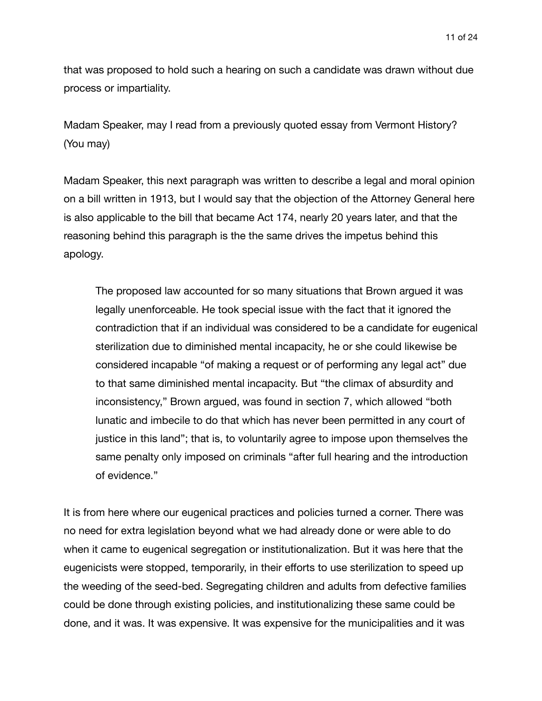11 of 24

that was proposed to hold such a hearing on such a candidate was drawn without due process or impartiality.

Madam Speaker, may I read from a previously quoted essay from Vermont History? (You may)

Madam Speaker, this next paragraph was written to describe a legal and moral opinion on a bill written in 1913, but I would say that the objection of the Attorney General here is also applicable to the bill that became Act 174, nearly 20 years later, and that the reasoning behind this paragraph is the the same drives the impetus behind this apology.

The proposed law accounted for so many situations that Brown argued it was legally unenforceable. He took special issue with the fact that it ignored the contradiction that if an individual was considered to be a candidate for eugenical sterilization due to diminished mental incapacity, he or she could likewise be considered incapable "of making a request or of performing any legal act" due to that same diminished mental incapacity. But "the climax of absurdity and inconsistency," Brown argued, was found in section 7, which allowed "both lunatic and imbecile to do that which has never been permitted in any court of justice in this land"; that is, to voluntarily agree to impose upon themselves the same penalty only imposed on criminals "after full hearing and the introduction of evidence."

It is from here where our eugenical practices and policies turned a corner. There was no need for extra legislation beyond what we had already done or were able to do when it came to eugenical segregation or institutionalization. But it was here that the eugenicists were stopped, temporarily, in their efforts to use sterilization to speed up the weeding of the seed-bed. Segregating children and adults from defective families could be done through existing policies, and institutionalizing these same could be done, and it was. It was expensive. It was expensive for the municipalities and it was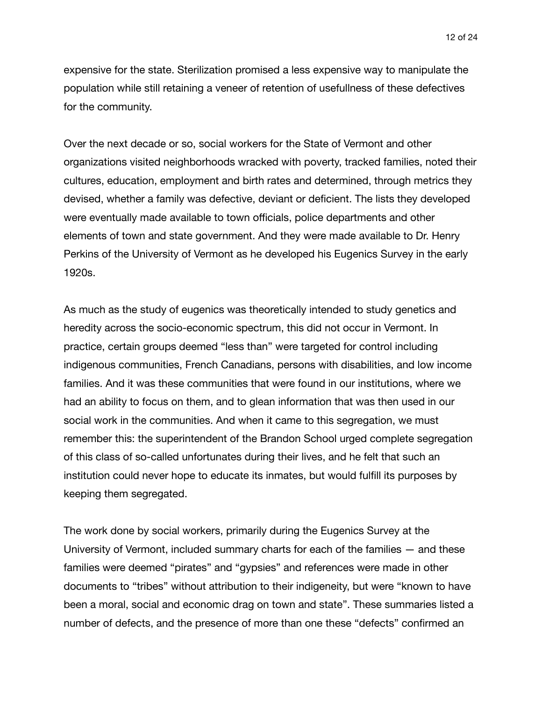expensive for the state. Sterilization promised a less expensive way to manipulate the population while still retaining a veneer of retention of usefullness of these defectives for the community.

Over the next decade or so, social workers for the State of Vermont and other organizations visited neighborhoods wracked with poverty, tracked families, noted their cultures, education, employment and birth rates and determined, through metrics they devised, whether a family was defective, deviant or deficient. The lists they developed were eventually made available to town officials, police departments and other elements of town and state government. And they were made available to Dr. Henry Perkins of the University of Vermont as he developed his Eugenics Survey in the early 1920s.

As much as the study of eugenics was theoretically intended to study genetics and heredity across the socio-economic spectrum, this did not occur in Vermont. In practice, certain groups deemed "less than" were targeted for control including indigenous communities, French Canadians, persons with disabilities, and low income families. And it was these communities that were found in our institutions, where we had an ability to focus on them, and to glean information that was then used in our social work in the communities. And when it came to this segregation, we must remember this: the superintendent of the Brandon School urged complete segregation of this class of so-called unfortunates during their lives, and he felt that such an institution could never hope to educate its inmates, but would fulfill its purposes by keeping them segregated.

The work done by social workers, primarily during the Eugenics Survey at the University of Vermont, included summary charts for each of the families — and these families were deemed "pirates" and "gypsies" and references were made in other documents to "tribes" without attribution to their indigeneity, but were "known to have been a moral, social and economic drag on town and state". These summaries listed a number of defects, and the presence of more than one these "defects" confirmed an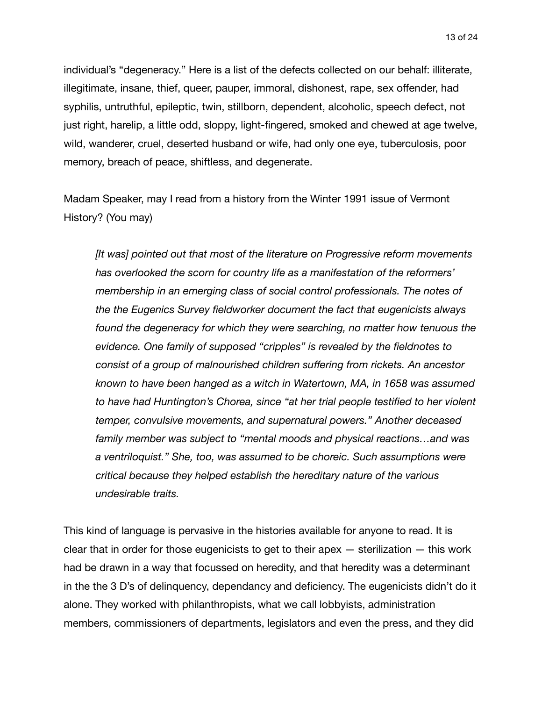individual's "degeneracy." Here is a list of the defects collected on our behalf: illiterate, illegitimate, insane, thief, queer, pauper, immoral, dishonest, rape, sex offender, had syphilis, untruthful, epileptic, twin, stillborn, dependent, alcoholic, speech defect, not just right, harelip, a little odd, sloppy, light-fingered, smoked and chewed at age twelve, wild, wanderer, cruel, deserted husband or wife, had only one eye, tuberculosis, poor memory, breach of peace, shiftless, and degenerate.

Madam Speaker, may I read from a history from the Winter 1991 issue of Vermont History? (You may)

*[It was] pointed out that most of the literature on Progressive reform movements has overlooked the scorn for country life as a manifestation of the reformers' membership in an emerging class of social control professionals. The notes of the the Eugenics Survey fieldworker document the fact that eugenicists always found the degeneracy for which they were searching, no matter how tenuous the evidence. One family of supposed "cripples" is revealed by the fieldnotes to consist of a group of malnourished children suffering from rickets. An ancestor known to have been hanged as a witch in Watertown, MA, in 1658 was assumed to have had Huntington's Chorea, since "at her trial people testified to her violent temper, convulsive movements, and supernatural powers." Another deceased family member was subject to "mental moods and physical reactions…and was a ventriloquist." She, too, was assumed to be choreic. Such assumptions were critical because they helped establish the hereditary nature of the various undesirable traits.* 

This kind of language is pervasive in the histories available for anyone to read. It is clear that in order for those eugenicists to get to their apex — sterilization — this work had be drawn in a way that focussed on heredity, and that heredity was a determinant in the the 3 D's of delinquency, dependancy and deficiency. The eugenicists didn't do it alone. They worked with philanthropists, what we call lobbyists, administration members, commissioners of departments, legislators and even the press, and they did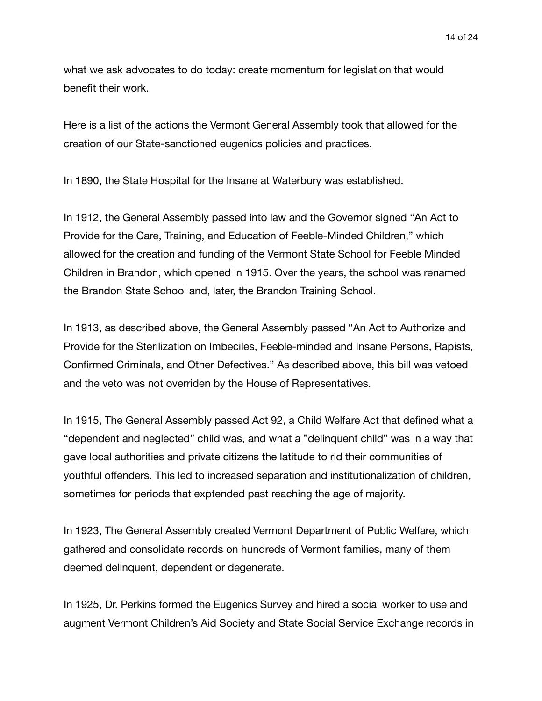what we ask advocates to do today: create momentum for legislation that would benefit their work.

Here is a list of the actions the Vermont General Assembly took that allowed for the creation of our State-sanctioned eugenics policies and practices.

In 1890, the State Hospital for the Insane at Waterbury was established.

In 1912, the General Assembly passed into law and the Governor signed "An Act to Provide for the Care, Training, and Education of Feeble-Minded Children," which allowed for the creation and funding of the Vermont State School for Feeble Minded Children in Brandon, which opened in 1915. Over the years, the school was renamed the Brandon State School and, later, the Brandon Training School.

In 1913, as described above, the General Assembly passed "An Act to Authorize and Provide for the Sterilization on Imbeciles, Feeble-minded and Insane Persons, Rapists, Confirmed Criminals, and Other Defectives." As described above, this bill was vetoed and the veto was not overriden by the House of Representatives.

In 1915, The General Assembly passed Act 92, a Child Welfare Act that defined what a "dependent and neglected" child was, and what a "delinquent child" was in a way that gave local authorities and private citizens the latitude to rid their communities of youthful offenders. This led to increased separation and institutionalization of children, sometimes for periods that exptended past reaching the age of majority.

In 1923, The General Assembly created Vermont Department of Public Welfare, which gathered and consolidate records on hundreds of Vermont families, many of them deemed delinquent, dependent or degenerate.

In 1925, Dr. Perkins formed the Eugenics Survey and hired a social worker to use and augment Vermont Children's Aid Society and State Social Service Exchange records in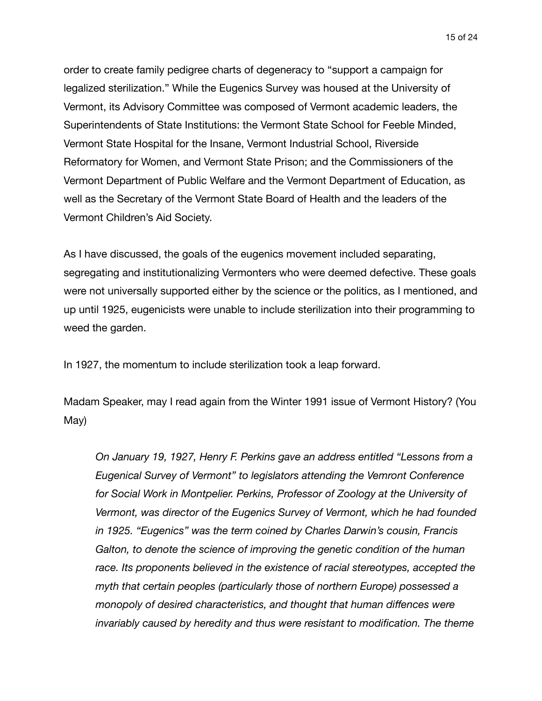order to create family pedigree charts of degeneracy to "support a campaign for legalized sterilization." While the Eugenics Survey was housed at the University of Vermont, its Advisory Committee was composed of Vermont academic leaders, the Superintendents of State Institutions: the Vermont State School for Feeble Minded, Vermont State Hospital for the Insane, Vermont Industrial School, Riverside Reformatory for Women, and Vermont State Prison; and the Commissioners of the Vermont Department of Public Welfare and the Vermont Department of Education, as well as the Secretary of the Vermont State Board of Health and the leaders of the Vermont Children's Aid Society.

As I have discussed, the goals of the eugenics movement included separating, segregating and institutionalizing Vermonters who were deemed defective. These goals were not universally supported either by the science or the politics, as I mentioned, and up until 1925, eugenicists were unable to include sterilization into their programming to weed the garden.

In 1927, the momentum to include sterilization took a leap forward.

Madam Speaker, may I read again from the Winter 1991 issue of Vermont History? (You May)

*On January 19, 1927, Henry F. Perkins gave an address entitled "Lessons from a Eugenical Survey of Vermont" to legislators attending the Vemront Conference for Social Work in Montpelier. Perkins, Professor of Zoology at the University of Vermont, was director of the Eugenics Survey of Vermont, which he had founded in 1925. "Eugenics" was the term coined by Charles Darwin's cousin, Francis*  Galton, to denote the science of improving the genetic condition of the human *race. Its proponents believed in the existence of racial stereotypes, accepted the myth that certain peoples (particularly those of northern Europe) possessed a monopoly of desired characteristics, and thought that human diffences were invariably caused by heredity and thus were resistant to modification. The theme*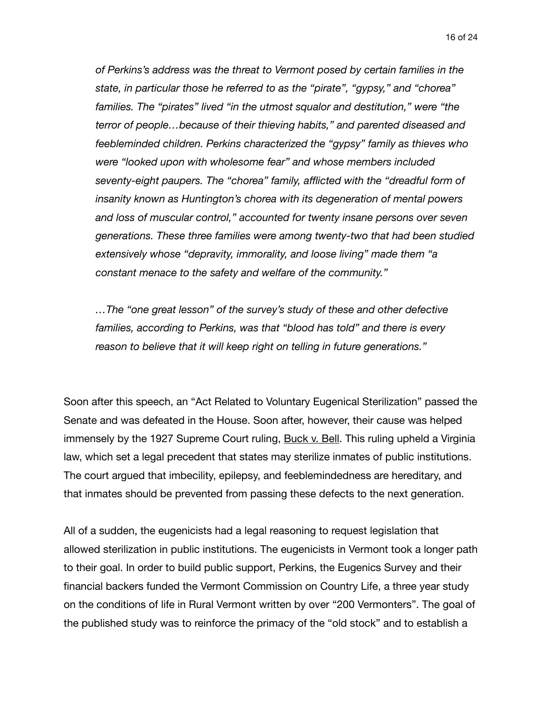*of Perkins's address was the threat to Vermont posed by certain families in the state, in particular those he referred to as the "pirate", "gypsy," and "chorea" families. The "pirates" lived "in the utmost squalor and destitution," were "the terror of people…because of their thieving habits," and parented diseased and feebleminded children. Perkins characterized the "gypsy" family as thieves who were "looked upon with wholesome fear" and whose members included seventy-eight paupers. The "chorea" family, afflicted with the "dreadful form of insanity known as Huntington's chorea with its degeneration of mental powers and loss of muscular control," accounted for twenty insane persons over seven generations. These three families were among twenty-two that had been studied extensively whose "depravity, immorality, and loose living" made them "a constant menace to the safety and welfare of the community."* 

*…The "one great lesson" of the survey's study of these and other defective families, according to Perkins, was that "blood has told" and there is every reason to believe that it will keep right on telling in future generations."* 

Soon after this speech, an "Act Related to Voluntary Eugenical Sterilization" passed the Senate and was defeated in the House. Soon after, however, their cause was helped immensely by the 1927 Supreme Court ruling, Buck v. Bell. This ruling upheld a Virginia law, which set a legal precedent that states may sterilize inmates of public institutions. The court argued that imbecility, epilepsy, and feeblemindedness are hereditary, and that inmates should be prevented from passing these defects to the next generation.

All of a sudden, the eugenicists had a legal reasoning to request legislation that allowed sterilization in public institutions. The eugenicists in Vermont took a longer path to their goal. In order to build public support, Perkins, the Eugenics Survey and their financial backers funded the Vermont Commission on Country Life, a three year study on the conditions of life in Rural Vermont written by over "200 Vermonters". The goal of the published study was to reinforce the primacy of the "old stock" and to establish a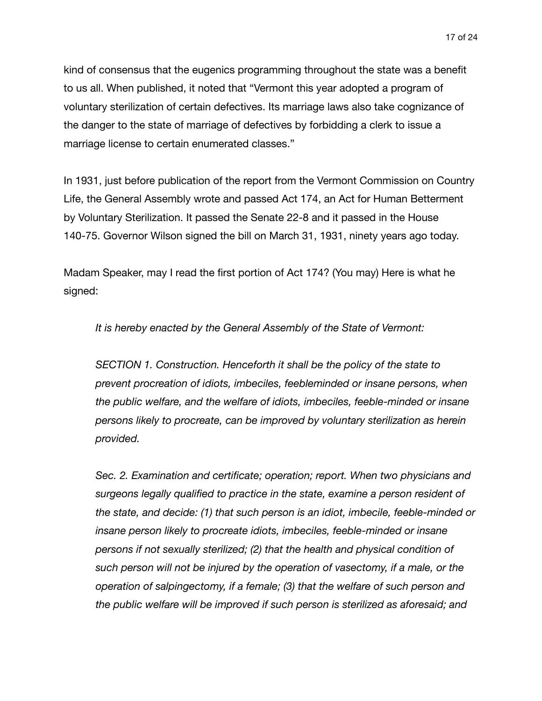kind of consensus that the eugenics programming throughout the state was a benefit to us all. When published, it noted that "Vermont this year adopted a program of voluntary sterilization of certain defectives. Its marriage laws also take cognizance of the danger to the state of marriage of defectives by forbidding a clerk to issue a marriage license to certain enumerated classes."

In 1931, just before publication of the report from the Vermont Commission on Country Life, the General Assembly wrote and passed Act 174, an Act for Human Betterment by Voluntary Sterilization. It passed the Senate 22-8 and it passed in the House 140-75. Governor Wilson signed the bill on March 31, 1931, ninety years ago today.

Madam Speaker, may I read the first portion of Act 174? (You may) Here is what he signed:

*It is hereby enacted by the General Assembly of the State of Vermont:* 

*SECTION 1. Construction. Henceforth it shall be the policy of the state to prevent procreation of idiots, imbeciles, feebleminded or insane persons, when the public welfare, and the welfare of idiots, imbeciles, feeble‐minded or insane persons likely to procreate, can be improved by voluntary sterilization as herein provided.* 

*Sec. 2. Examination and certificate; operation; report. When two physicians and surgeons legally qualified to practice in the state, examine a person resident of the state, and decide: (1) that such person is an idiot, imbecile, feeble‐minded or insane person likely to procreate idiots, imbeciles, feeble‐minded or insane persons if not sexually sterilized; (2) that the health and physical condition of such person will not be injured by the operation of vasectomy, if a male, or the operation of salpingectomy, if a female; (3) that the welfare of such person and the public welfare will be improved if such person is sterilized as aforesaid; and*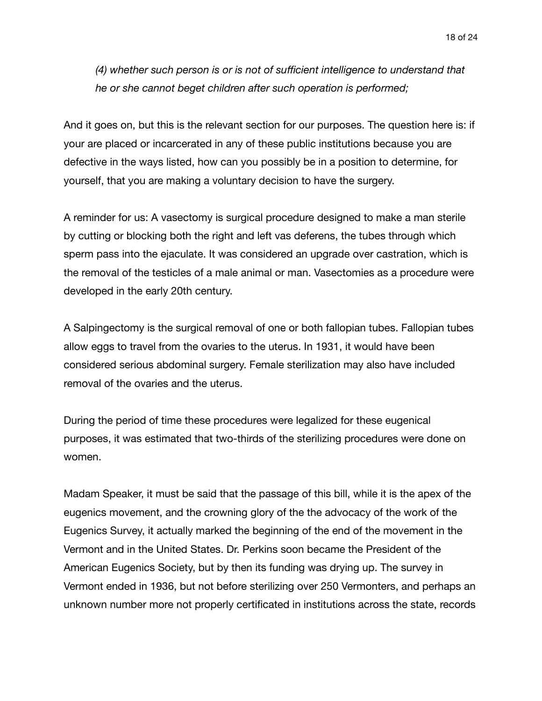*(4) whether such person is or is not of sufficient intelligence to understand that he or she cannot beget children after such operation is performed;* 

And it goes on, but this is the relevant section for our purposes. The question here is: if your are placed or incarcerated in any of these public institutions because you are defective in the ways listed, how can you possibly be in a position to determine, for yourself, that you are making a voluntary decision to have the surgery.

A reminder for us: A vasectomy is surgical procedure designed to make a man sterile by cutting or blocking both the right and left vas deferens, the tubes through which sperm pass into the ejaculate. It was considered an upgrade over castration, which is the removal of the testicles of a male animal or man. Vasectomies as a procedure were developed in the early 20th century.

A Salpingectomy is the surgical removal of one or both fallopian tubes. Fallopian tubes allow eggs to travel from the ovaries to the uterus. In 1931, it would have been considered serious abdominal surgery. Female sterilization may also have included removal of the ovaries and the uterus.

During the period of time these procedures were legalized for these eugenical purposes, it was estimated that two-thirds of the sterilizing procedures were done on women.

Madam Speaker, it must be said that the passage of this bill, while it is the apex of the eugenics movement, and the crowning glory of the the advocacy of the work of the Eugenics Survey, it actually marked the beginning of the end of the movement in the Vermont and in the United States. Dr. Perkins soon became the President of the American Eugenics Society, but by then its funding was drying up. The survey in Vermont ended in 1936, but not before sterilizing over 250 Vermonters, and perhaps an unknown number more not properly certificated in institutions across the state, records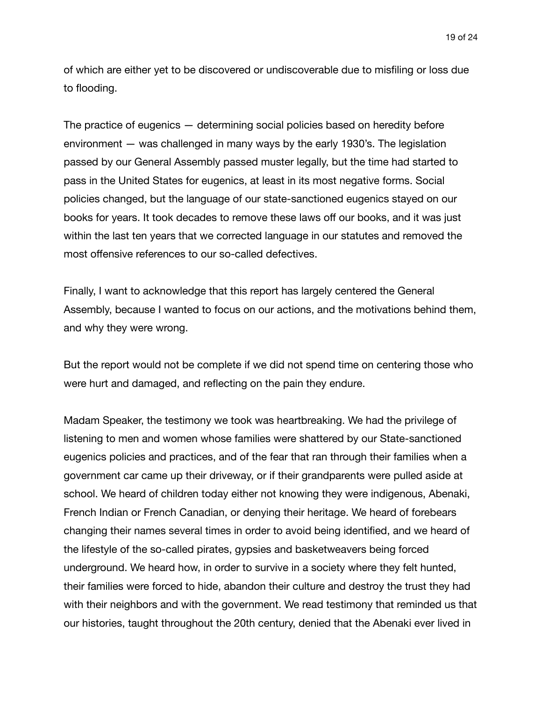of which are either yet to be discovered or undiscoverable due to misfiling or loss due to flooding.

The practice of eugenics — determining social policies based on heredity before environment — was challenged in many ways by the early 1930's. The legislation passed by our General Assembly passed muster legally, but the time had started to pass in the United States for eugenics, at least in its most negative forms. Social policies changed, but the language of our state-sanctioned eugenics stayed on our books for years. It took decades to remove these laws off our books, and it was just within the last ten years that we corrected language in our statutes and removed the most offensive references to our so-called defectives.

Finally, I want to acknowledge that this report has largely centered the General Assembly, because I wanted to focus on our actions, and the motivations behind them, and why they were wrong.

But the report would not be complete if we did not spend time on centering those who were hurt and damaged, and reflecting on the pain they endure.

Madam Speaker, the testimony we took was heartbreaking. We had the privilege of listening to men and women whose families were shattered by our State-sanctioned eugenics policies and practices, and of the fear that ran through their families when a government car came up their driveway, or if their grandparents were pulled aside at school. We heard of children today either not knowing they were indigenous, Abenaki, French Indian or French Canadian, or denying their heritage. We heard of forebears changing their names several times in order to avoid being identified, and we heard of the lifestyle of the so-called pirates, gypsies and basketweavers being forced underground. We heard how, in order to survive in a society where they felt hunted, their families were forced to hide, abandon their culture and destroy the trust they had with their neighbors and with the government. We read testimony that reminded us that our histories, taught throughout the 20th century, denied that the Abenaki ever lived in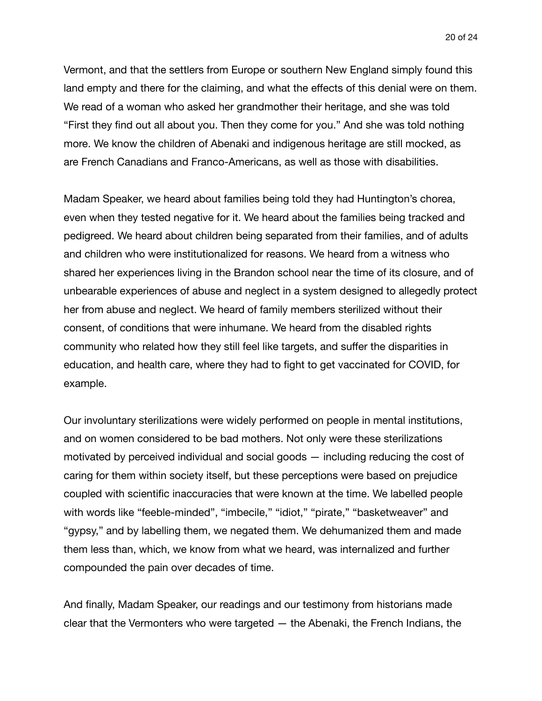Vermont, and that the settlers from Europe or southern New England simply found this land empty and there for the claiming, and what the effects of this denial were on them. We read of a woman who asked her grandmother their heritage, and she was told "First they find out all about you. Then they come for you." And she was told nothing more. We know the children of Abenaki and indigenous heritage are still mocked, as are French Canadians and Franco-Americans, as well as those with disabilities.

Madam Speaker, we heard about families being told they had Huntington's chorea, even when they tested negative for it. We heard about the families being tracked and pedigreed. We heard about children being separated from their families, and of adults and children who were institutionalized for reasons. We heard from a witness who shared her experiences living in the Brandon school near the time of its closure, and of unbearable experiences of abuse and neglect in a system designed to allegedly protect her from abuse and neglect. We heard of family members sterilized without their consent, of conditions that were inhumane. We heard from the disabled rights community who related how they still feel like targets, and suffer the disparities in education, and health care, where they had to fight to get vaccinated for COVID, for example.

Our involuntary sterilizations were widely performed on people in mental institutions, and on women considered to be bad mothers. Not only were these sterilizations motivated by perceived individual and social goods — including reducing the cost of caring for them within society itself, but these perceptions were based on prejudice coupled with scientific inaccuracies that were known at the time. We labelled people with words like "feeble-minded", "imbecile," "idiot," "pirate," "basketweaver" and "gypsy," and by labelling them, we negated them. We dehumanized them and made them less than, which, we know from what we heard, was internalized and further compounded the pain over decades of time.

And finally, Madam Speaker, our readings and our testimony from historians made clear that the Vermonters who were targeted — the Abenaki, the French Indians, the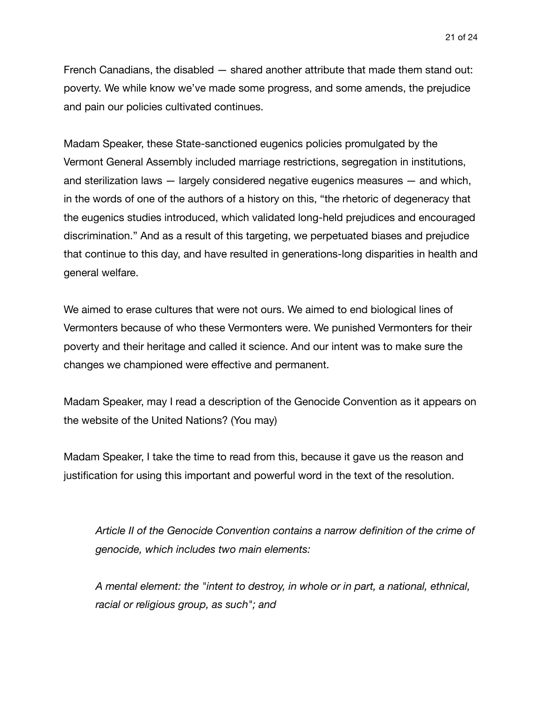French Canadians, the disabled — shared another attribute that made them stand out: poverty. We while know we've made some progress, and some amends, the prejudice and pain our policies cultivated continues.

Madam Speaker, these State-sanctioned eugenics policies promulgated by the Vermont General Assembly included marriage restrictions, segregation in institutions, and sterilization laws — largely considered negative eugenics measures — and which, in the words of one of the authors of a history on this, "the rhetoric of degeneracy that the eugenics studies introduced, which validated long-held prejudices and encouraged discrimination." And as a result of this targeting, we perpetuated biases and prejudice that continue to this day, and have resulted in generations-long disparities in health and general welfare.

We aimed to erase cultures that were not ours. We aimed to end biological lines of Vermonters because of who these Vermonters were. We punished Vermonters for their poverty and their heritage and called it science. And our intent was to make sure the changes we championed were effective and permanent.

Madam Speaker, may I read a description of the Genocide Convention as it appears on the website of the United Nations? (You may)

Madam Speaker, I take the time to read from this, because it gave us the reason and justification for using this important and powerful word in the text of the resolution.

*Article II of the Genocide Convention contains a narrow definition of the crime of genocide, which includes two main elements:* 

*A mental element: the "intent to destroy, in whole or in part, a national, ethnical, racial or religious group, as such"; and*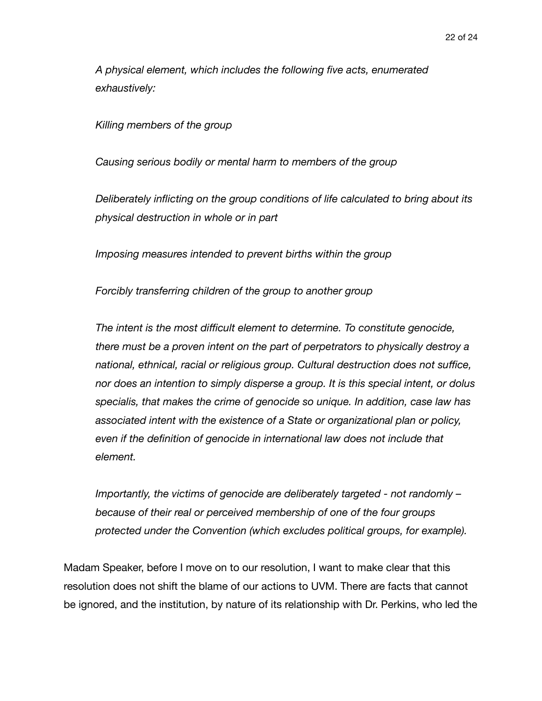*A physical element, which includes the following five acts, enumerated exhaustively:* 

*Killing members of the group* 

*Causing serious bodily or mental harm to members of the group* 

*Deliberately inflicting on the group conditions of life calculated to bring about its physical destruction in whole or in part* 

*Imposing measures intended to prevent births within the group* 

*Forcibly transferring children of the group to another group* 

*The intent is the most difficult element to determine. To constitute genocide, there must be a proven intent on the part of perpetrators to physically destroy a national, ethnical, racial or religious group. Cultural destruction does not suffice, nor does an intention to simply disperse a group. It is this special intent, or dolus specialis, that makes the crime of genocide so unique. In addition, case law has associated intent with the existence of a State or organizational plan or policy, even if the definition of genocide in international law does not include that element.* 

*Importantly, the victims of genocide are deliberately targeted - not randomly – because of their real or perceived membership of one of the four groups protected under the Convention (which excludes political groups, for example).* 

Madam Speaker, before I move on to our resolution, I want to make clear that this resolution does not shift the blame of our actions to UVM. There are facts that cannot be ignored, and the institution, by nature of its relationship with Dr. Perkins, who led the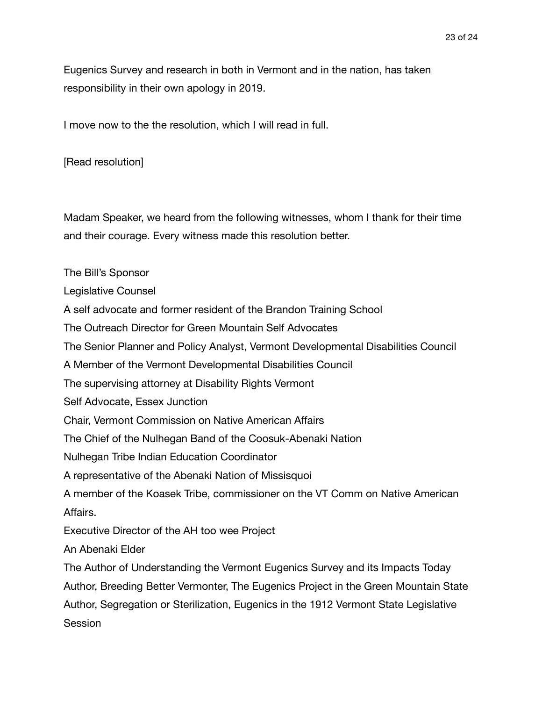Eugenics Survey and research in both in Vermont and in the nation, has taken responsibility in their own apology in 2019.

I move now to the the resolution, which I will read in full.

[Read resolution]

Madam Speaker, we heard from the following witnesses, whom I thank for their time and their courage. Every witness made this resolution better.

The Bill's Sponsor

Legislative Counsel

A self advocate and former resident of the Brandon Training School

The Outreach Director for Green Mountain Self Advocates

The Senior Planner and Policy Analyst, Vermont Developmental Disabilities Council

A Member of the Vermont Developmental Disabilities Council

The supervising attorney at Disability Rights Vermont

Self Advocate, Essex Junction

Chair, Vermont Commission on Native American Affairs

The Chief of the Nulhegan Band of the Coosuk-Abenaki Nation

Nulhegan Tribe Indian Education Coordinator

A representative of the Abenaki Nation of Missisquoi

A member of the Koasek Tribe, commissioner on the VT Comm on Native American Affairs.

Executive Director of the AH too wee Project

An Abenaki Elder

The Author of Understanding the Vermont Eugenics Survey and its Impacts Today Author, Breeding Better Vermonter, The Eugenics Project in the Green Mountain State Author, Segregation or Sterilization, Eugenics in the 1912 Vermont State Legislative Session